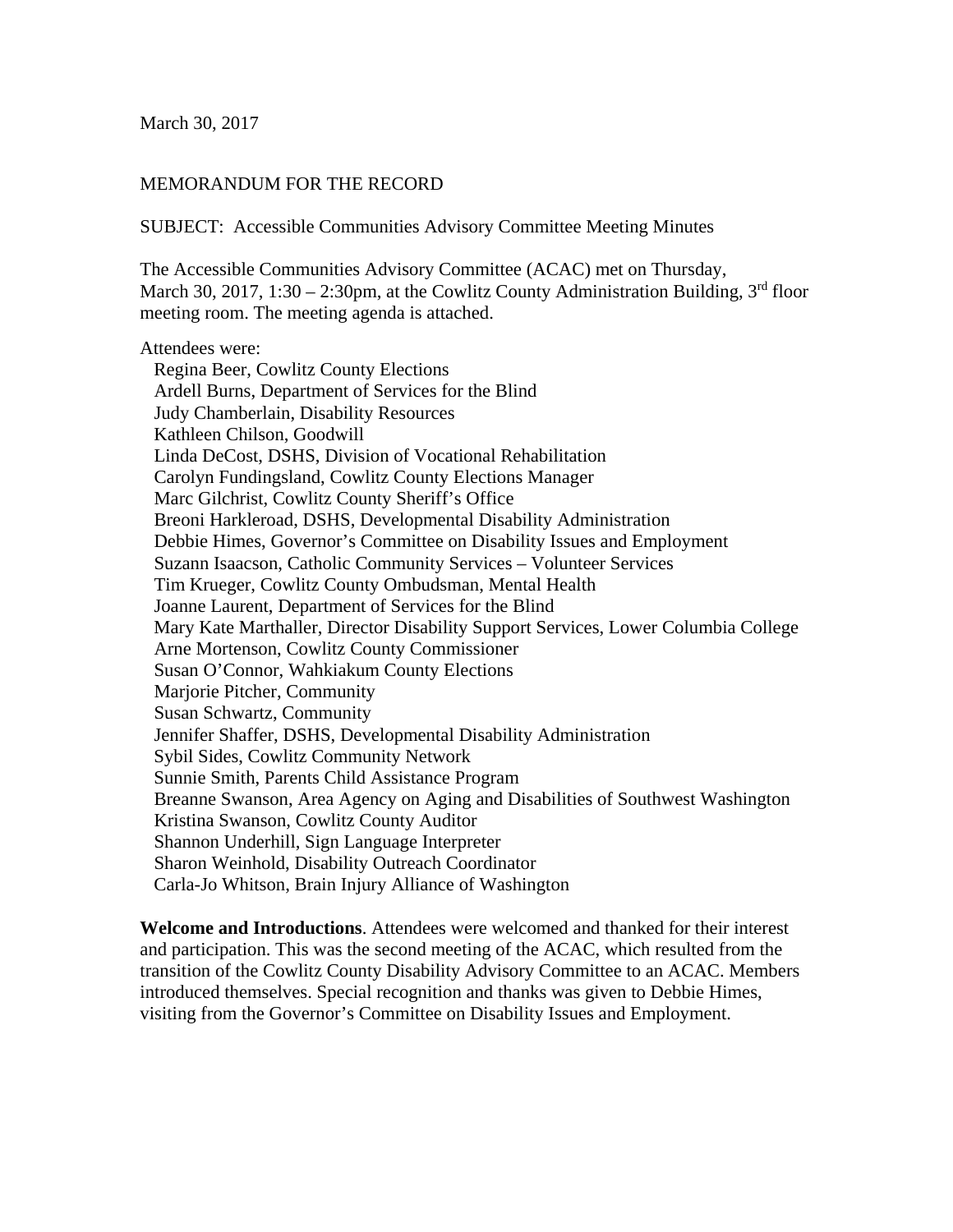March 30, 2017

#### MEMORANDUM FOR THE RECORD

SUBJECT: Accessible Communities Advisory Committee Meeting Minutes

The Accessible Communities Advisory Committee (ACAC) met on Thursday, March 30, 2017, 1:30 – 2:30pm, at the Cowlitz County Administration Building,  $3<sup>rd</sup>$  floor meeting room. The meeting agenda is attached.

#### Attendees were:

 Regina Beer, Cowlitz County Elections Ardell Burns, Department of Services for the Blind Judy Chamberlain, Disability Resources Kathleen Chilson, Goodwill Linda DeCost, DSHS, Division of Vocational Rehabilitation Carolyn Fundingsland, Cowlitz County Elections Manager Marc Gilchrist, Cowlitz County Sheriff's Office Breoni Harkleroad, DSHS, Developmental Disability Administration Debbie Himes, Governor's Committee on Disability Issues and Employment Suzann Isaacson, Catholic Community Services – Volunteer Services Tim Krueger, Cowlitz County Ombudsman, Mental Health Joanne Laurent, Department of Services for the Blind Mary Kate Marthaller, Director Disability Support Services, Lower Columbia College Arne Mortenson, Cowlitz County Commissioner Susan O'Connor, Wahkiakum County Elections Marjorie Pitcher, Community Susan Schwartz, Community Jennifer Shaffer, DSHS, Developmental Disability Administration Sybil Sides, Cowlitz Community Network Sunnie Smith, Parents Child Assistance Program Breanne Swanson, Area Agency on Aging and Disabilities of Southwest Washington Kristina Swanson, Cowlitz County Auditor Shannon Underhill, Sign Language Interpreter Sharon Weinhold, Disability Outreach Coordinator Carla-Jo Whitson, Brain Injury Alliance of Washington

**Welcome and Introductions**. Attendees were welcomed and thanked for their interest and participation. This was the second meeting of the ACAC, which resulted from the transition of the Cowlitz County Disability Advisory Committee to an ACAC. Members introduced themselves. Special recognition and thanks was given to Debbie Himes, visiting from the Governor's Committee on Disability Issues and Employment.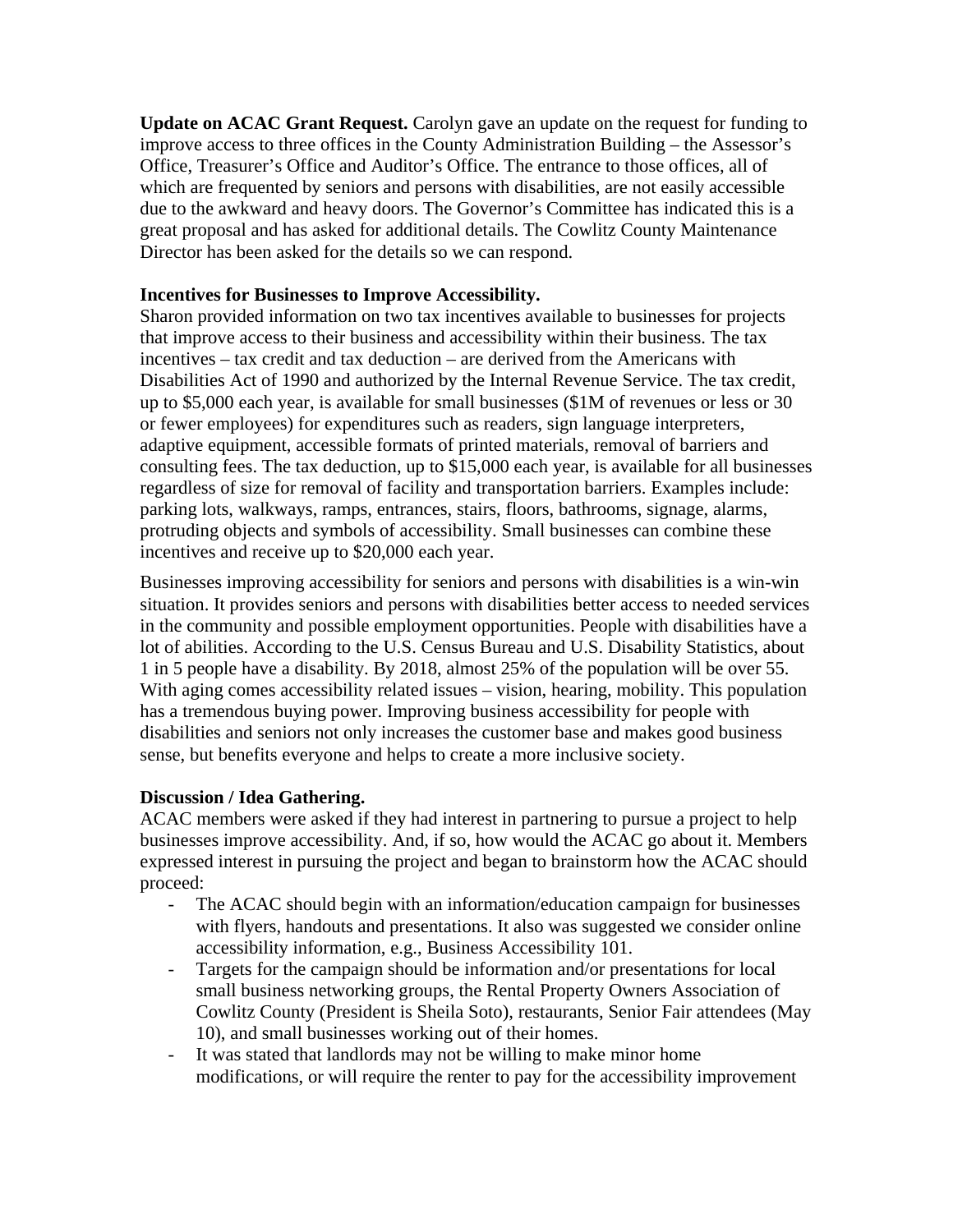**Update on ACAC Grant Request.** Carolyn gave an update on the request for funding to improve access to three offices in the County Administration Building – the Assessor's Office, Treasurer's Office and Auditor's Office. The entrance to those offices, all of which are frequented by seniors and persons with disabilities, are not easily accessible due to the awkward and heavy doors. The Governor's Committee has indicated this is a great proposal and has asked for additional details. The Cowlitz County Maintenance Director has been asked for the details so we can respond.

### **Incentives for Businesses to Improve Accessibility.**

Sharon provided information on two tax incentives available to businesses for projects that improve access to their business and accessibility within their business. The tax incentives – tax credit and tax deduction – are derived from the Americans with Disabilities Act of 1990 and authorized by the Internal Revenue Service. The tax credit, up to \$5,000 each year, is available for small businesses (\$1M of revenues or less or 30 or fewer employees) for expenditures such as readers, sign language interpreters, adaptive equipment, accessible formats of printed materials, removal of barriers and consulting fees. The tax deduction, up to \$15,000 each year, is available for all businesses regardless of size for removal of facility and transportation barriers. Examples include: parking lots, walkways, ramps, entrances, stairs, floors, bathrooms, signage, alarms, protruding objects and symbols of accessibility. Small businesses can combine these incentives and receive up to \$20,000 each year.

Businesses improving accessibility for seniors and persons with disabilities is a win-win situation. It provides seniors and persons with disabilities better access to needed services in the community and possible employment opportunities. People with disabilities have a lot of abilities. According to the U.S. Census Bureau and U.S. Disability Statistics, about 1 in 5 people have a disability. By 2018, almost 25% of the population will be over 55. With aging comes accessibility related issues – vision, hearing, mobility. This population has a tremendous buying power. Improving business accessibility for people with disabilities and seniors not only increases the customer base and makes good business sense, but benefits everyone and helps to create a more inclusive society.

# **Discussion / Idea Gathering.**

ACAC members were asked if they had interest in partnering to pursue a project to help businesses improve accessibility. And, if so, how would the ACAC go about it. Members expressed interest in pursuing the project and began to brainstorm how the ACAC should proceed:

- The ACAC should begin with an information/education campaign for businesses with flyers, handouts and presentations. It also was suggested we consider online accessibility information, e.g., Business Accessibility 101.
- Targets for the campaign should be information and/or presentations for local small business networking groups, the Rental Property Owners Association of Cowlitz County (President is Sheila Soto), restaurants, Senior Fair attendees (May 10), and small businesses working out of their homes.
- It was stated that landlords may not be willing to make minor home modifications, or will require the renter to pay for the accessibility improvement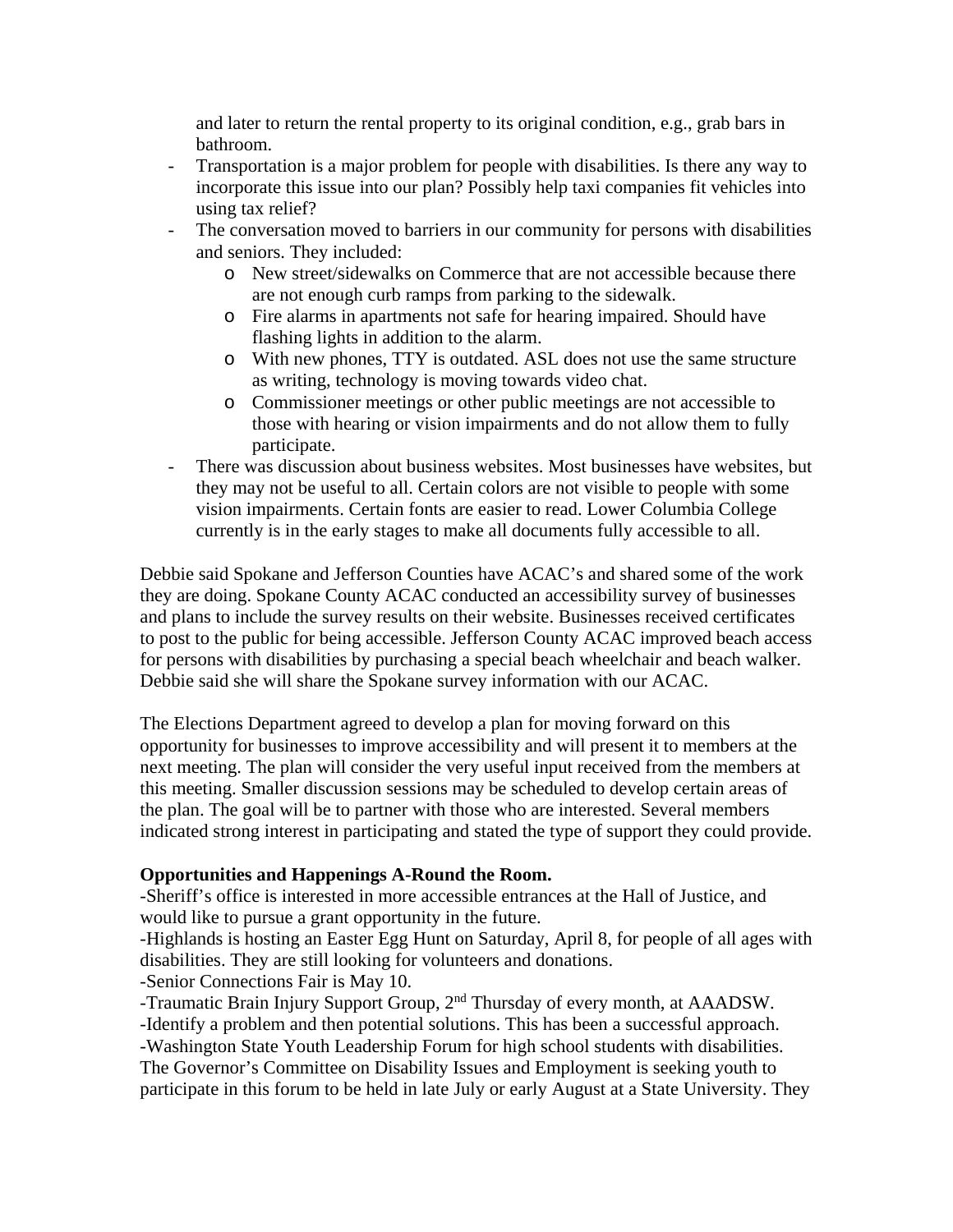and later to return the rental property to its original condition, e.g., grab bars in bathroom.

- Transportation is a major problem for people with disabilities. Is there any way to incorporate this issue into our plan? Possibly help taxi companies fit vehicles into using tax relief?
- The conversation moved to barriers in our community for persons with disabilities and seniors. They included:
	- o New street/sidewalks on Commerce that are not accessible because there are not enough curb ramps from parking to the sidewalk.
	- o Fire alarms in apartments not safe for hearing impaired. Should have flashing lights in addition to the alarm.
	- o With new phones, TTY is outdated. ASL does not use the same structure as writing, technology is moving towards video chat.
	- o Commissioner meetings or other public meetings are not accessible to those with hearing or vision impairments and do not allow them to fully participate.
- There was discussion about business websites. Most businesses have websites, but they may not be useful to all. Certain colors are not visible to people with some vision impairments. Certain fonts are easier to read. Lower Columbia College currently is in the early stages to make all documents fully accessible to all.

Debbie said Spokane and Jefferson Counties have ACAC's and shared some of the work they are doing. Spokane County ACAC conducted an accessibility survey of businesses and plans to include the survey results on their website. Businesses received certificates to post to the public for being accessible. Jefferson County ACAC improved beach access for persons with disabilities by purchasing a special beach wheelchair and beach walker. Debbie said she will share the Spokane survey information with our ACAC.

The Elections Department agreed to develop a plan for moving forward on this opportunity for businesses to improve accessibility and will present it to members at the next meeting. The plan will consider the very useful input received from the members at this meeting. Smaller discussion sessions may be scheduled to develop certain areas of the plan. The goal will be to partner with those who are interested. Several members indicated strong interest in participating and stated the type of support they could provide.

# **Opportunities and Happenings A-Round the Room.**

-Sheriff's office is interested in more accessible entrances at the Hall of Justice, and would like to pursue a grant opportunity in the future.

-Highlands is hosting an Easter Egg Hunt on Saturday, April 8, for people of all ages with disabilities. They are still looking for volunteers and donations.

-Senior Connections Fair is May 10.

-Traumatic Brain Injury Support Group, 2nd Thursday of every month, at AAADSW. -Identify a problem and then potential solutions. This has been a successful approach. -Washington State Youth Leadership Forum for high school students with disabilities. The Governor's Committee on Disability Issues and Employment is seeking youth to participate in this forum to be held in late July or early August at a State University. They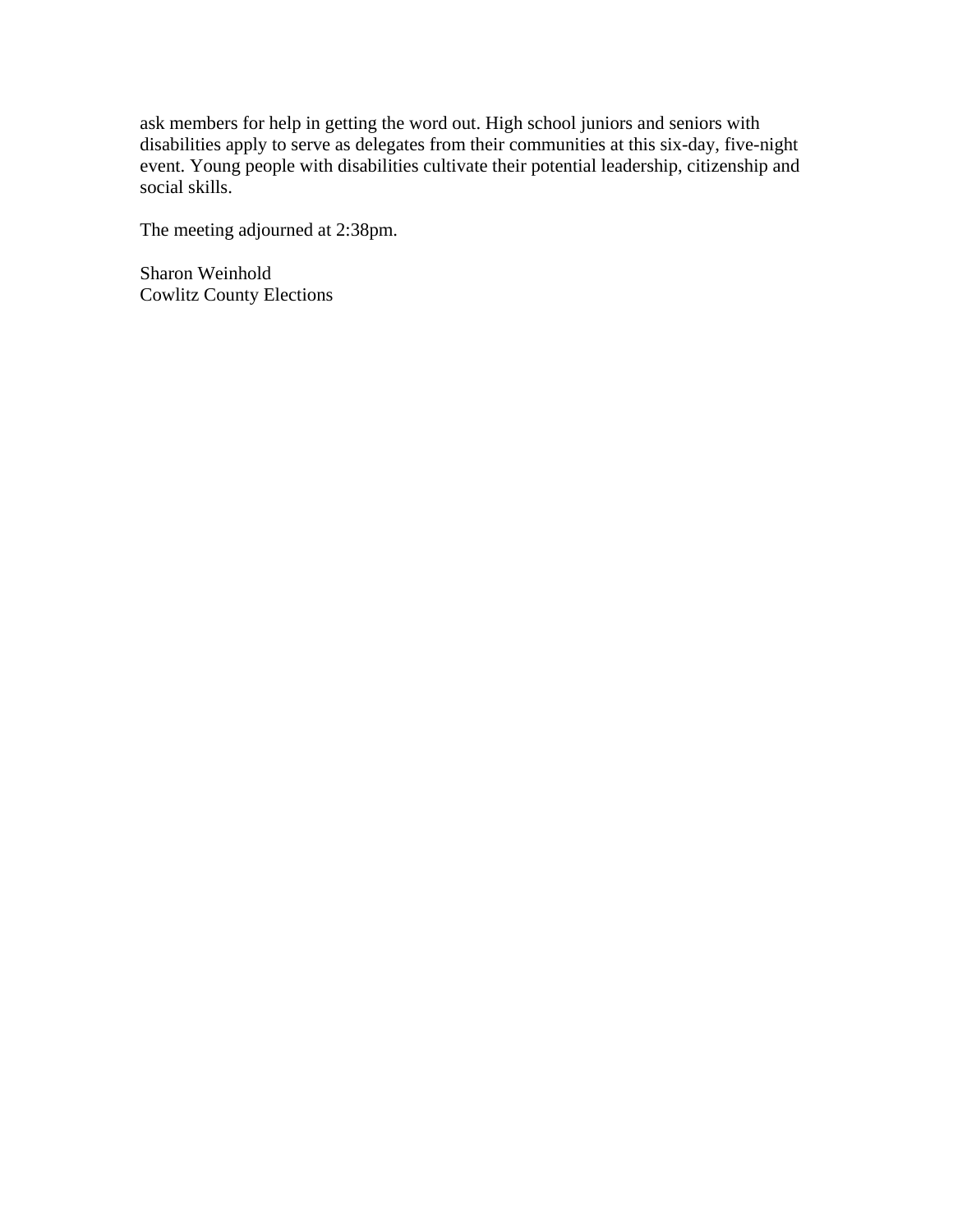ask members for help in getting the word out. High school juniors and seniors with disabilities apply to serve as delegates from their communities at this six-day, five-night event. Young people with disabilities cultivate their potential leadership, citizenship and social skills.

The meeting adjourned at 2:38pm.

Sharon Weinhold Cowlitz County Elections